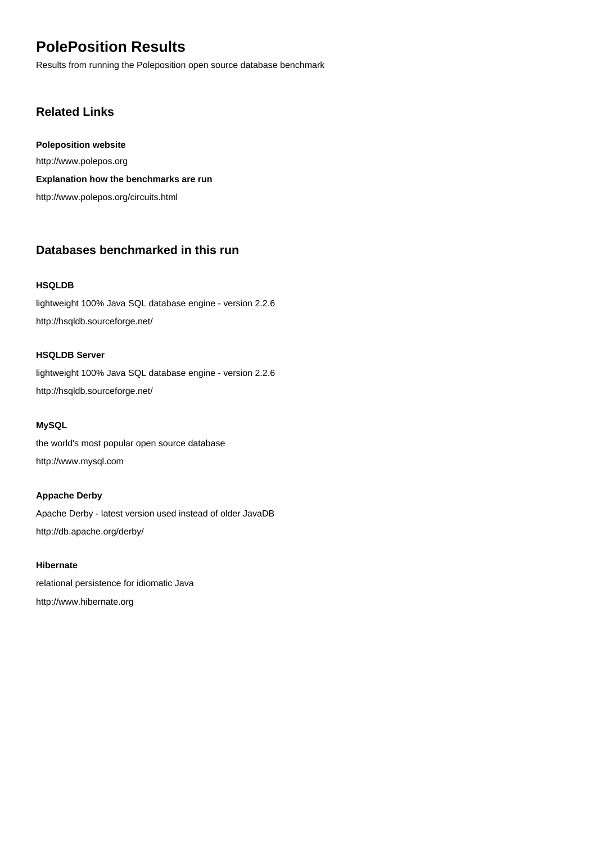# **PolePosition Results**

Results from running the Poleposition open source database benchmark

## **Related Links**

**Poleposition website** <http://www.polepos.org> **Explanation how the benchmarks are run** <http://www.polepos.org/circuits.html>

## **Databases benchmarked in this run**

#### **[HSQLDB](http://hsqldb.sourceforge.net/)**

[lightweight 100% Java SQL database engine - version 2.2.6](http://hsqldb.sourceforge.net/) <http://hsqldb.sourceforge.net/>

#### **[HSQLDB Server](http://hsqldb.sourceforge.net/)**

[lightweight 100% Java SQL database engine - version 2.2.6](http://hsqldb.sourceforge.net/) <http://hsqldb.sourceforge.net/>

## **[MySQL](http://www.mysql.com)**

[the world's most popular open source database](http://www.mysql.com) <http://www.mysql.com>

#### **[Appache Derby](http://db.apache.org/derby/)**

[Apache Derby - latest version used instead of older JavaDB](http://db.apache.org/derby/) <http://db.apache.org/derby/>

## **[Hibernate](http://www.hibernate.org)**

[relational persistence for idiomatic Java](http://www.hibernate.org) <http://www.hibernate.org>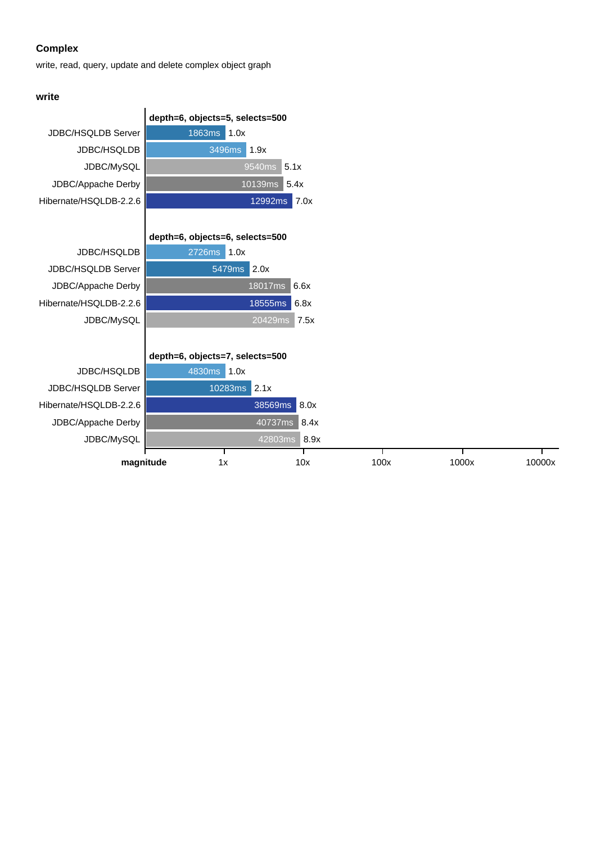write, read, query, update and delete complex object graph

#### **write**

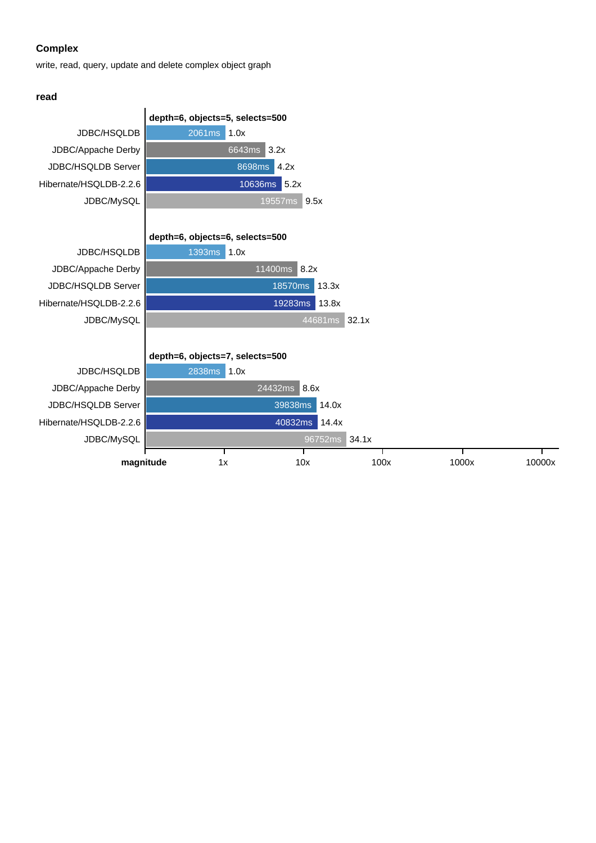write, read, query, update and delete complex object graph

#### **read**

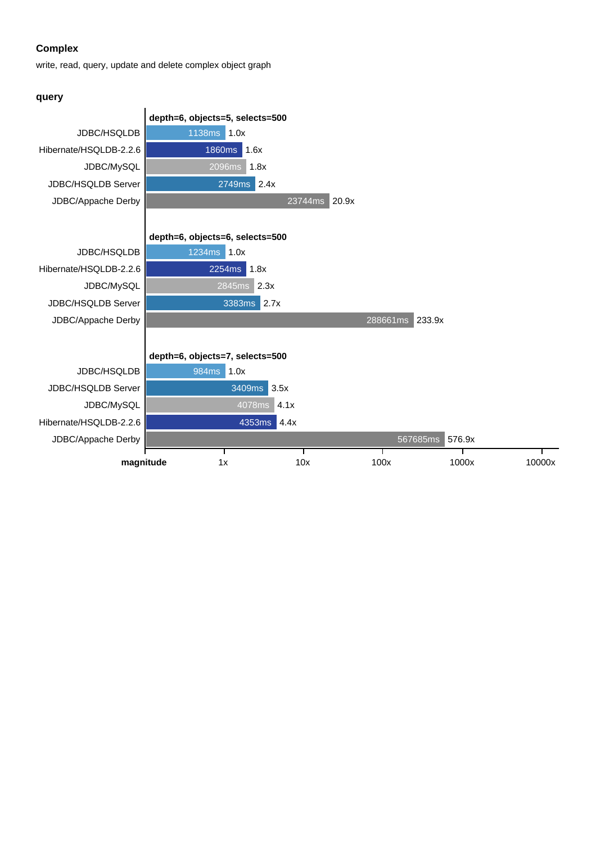write, read, query, update and delete complex object graph

#### **query**

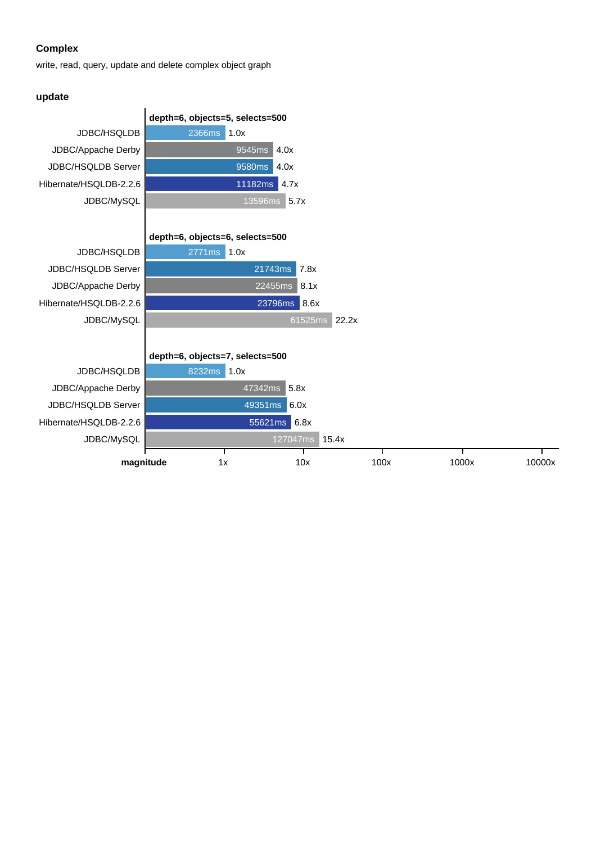write, read, query, update and delete complex object graph

#### **update**

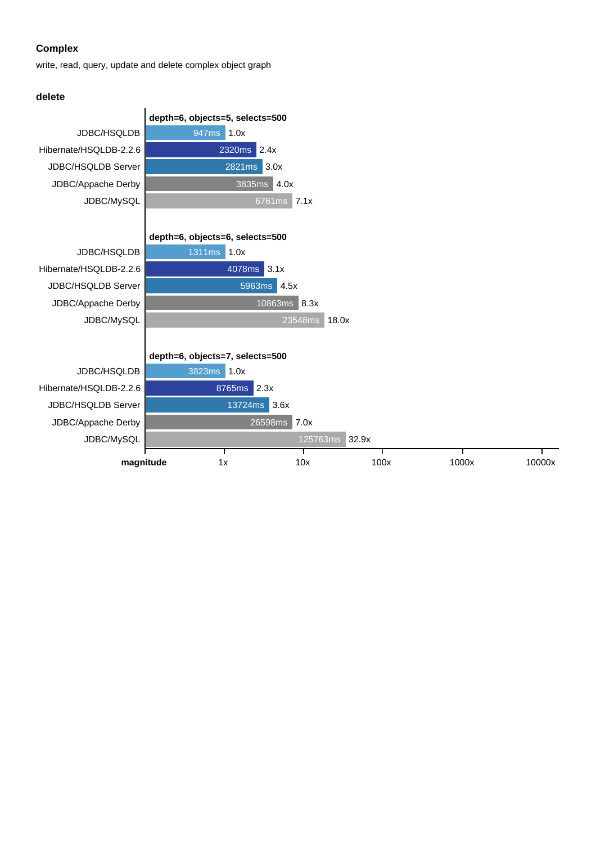write, read, query, update and delete complex object graph

#### **delete**

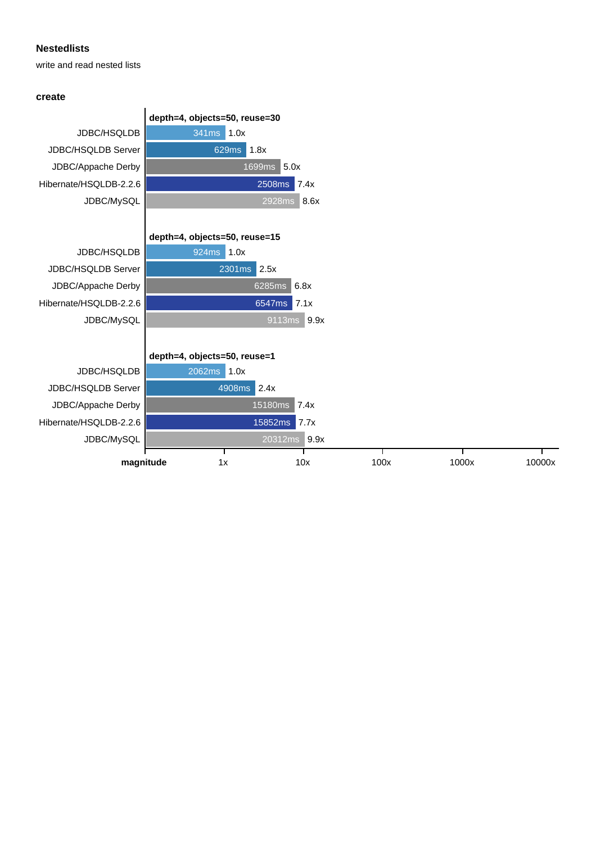write and read nested lists

#### **create**

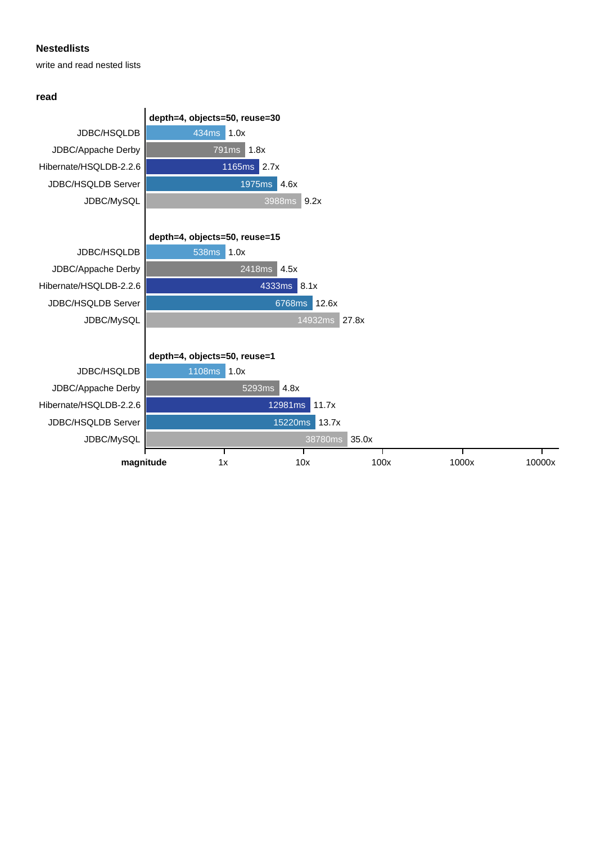write and read nested lists

#### **read**

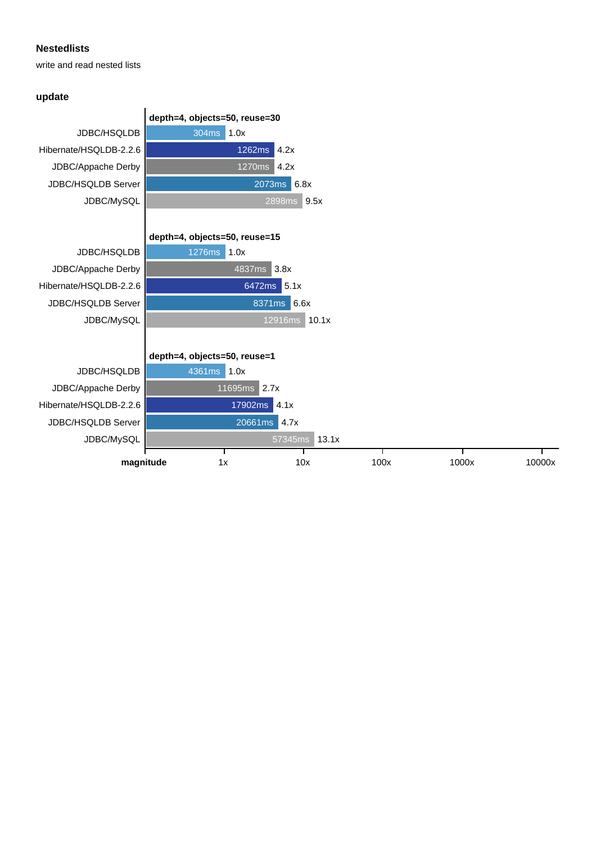write and read nested lists

## **update**

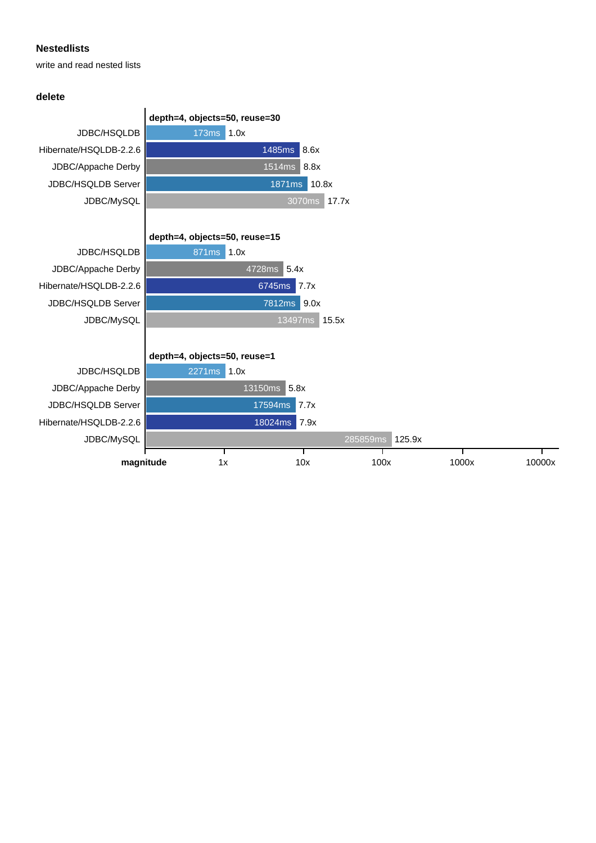write and read nested lists

#### **delete**

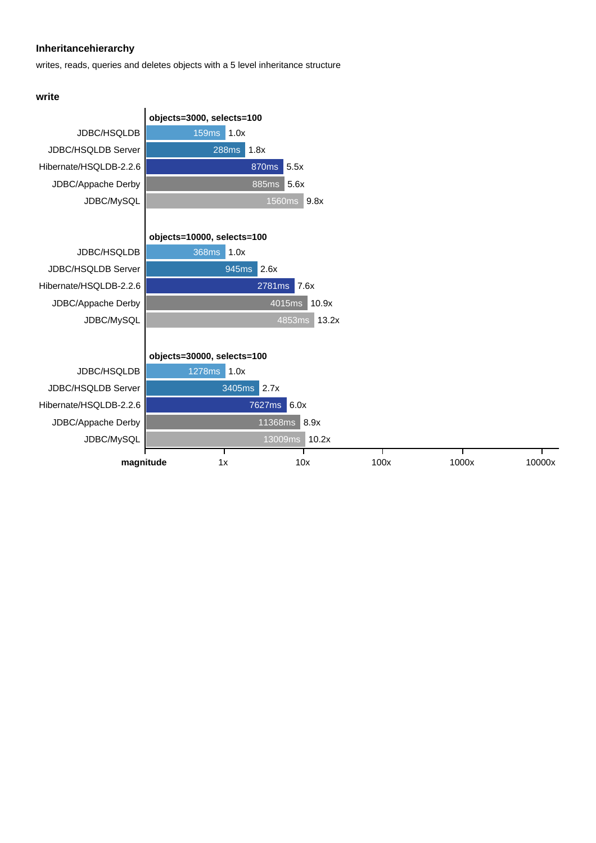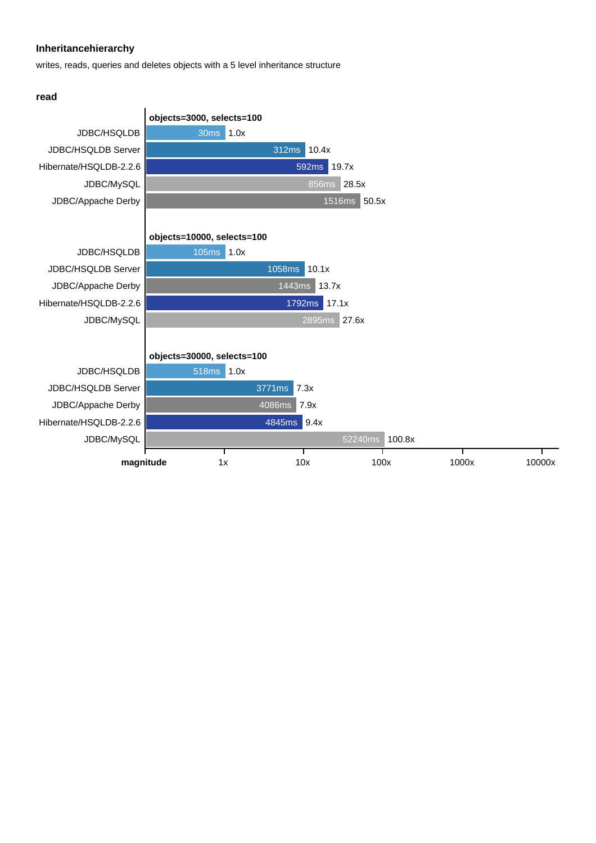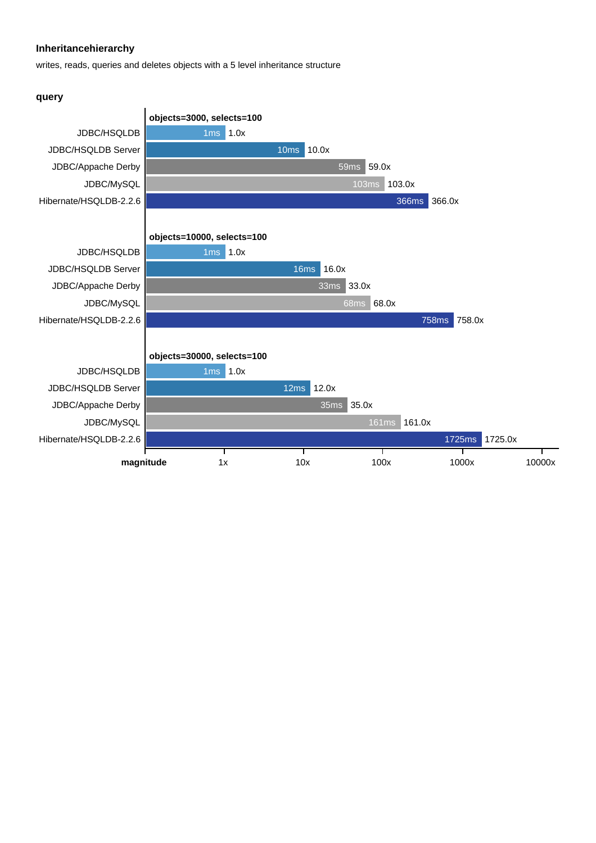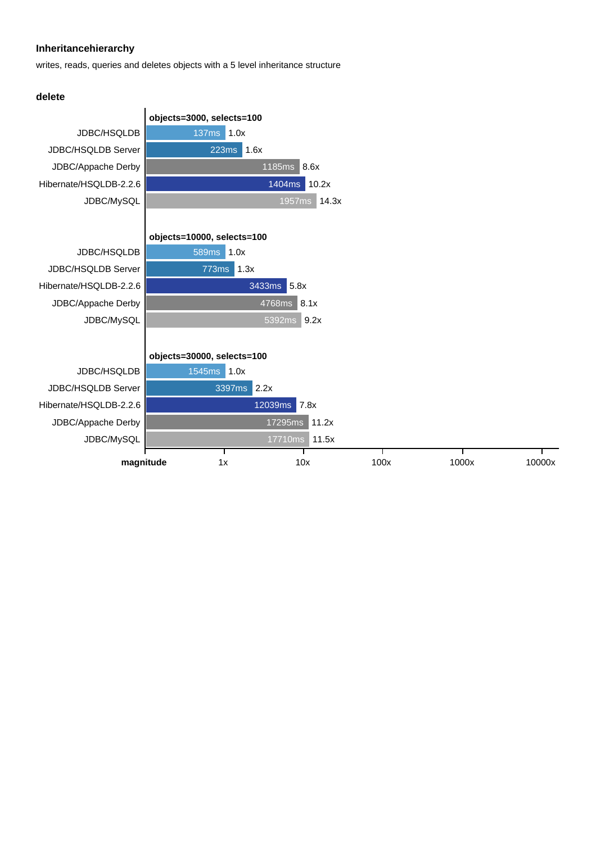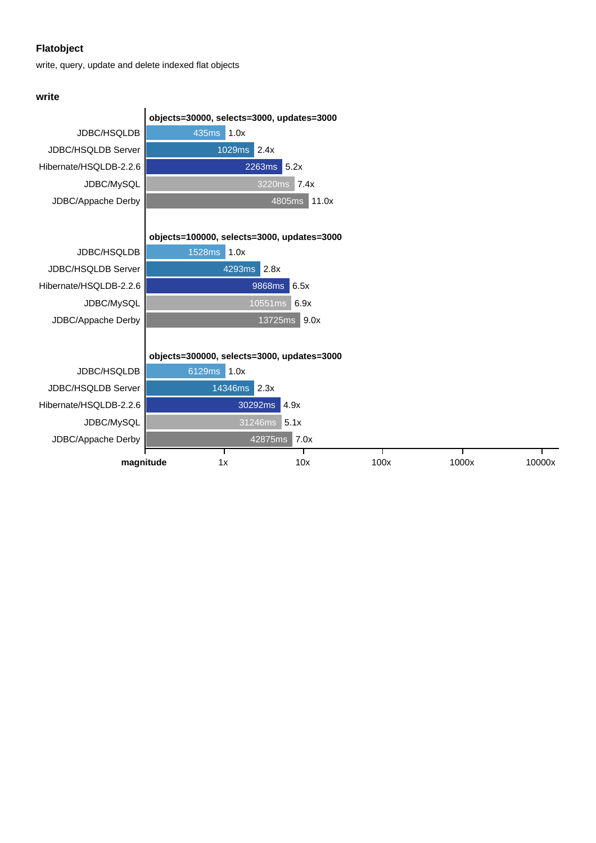write, query, update and delete indexed flat objects

#### **write**

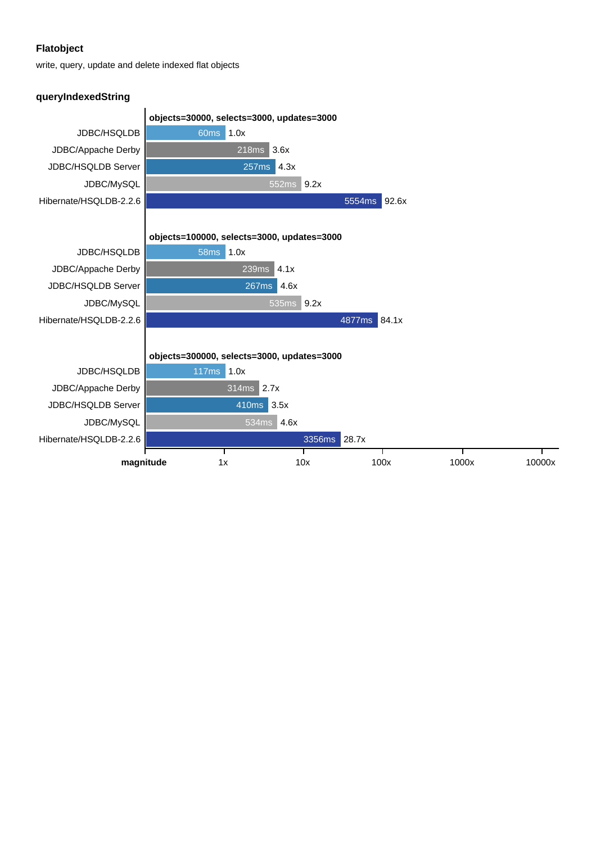write, query, update and delete indexed flat objects

#### **queryIndexedString**

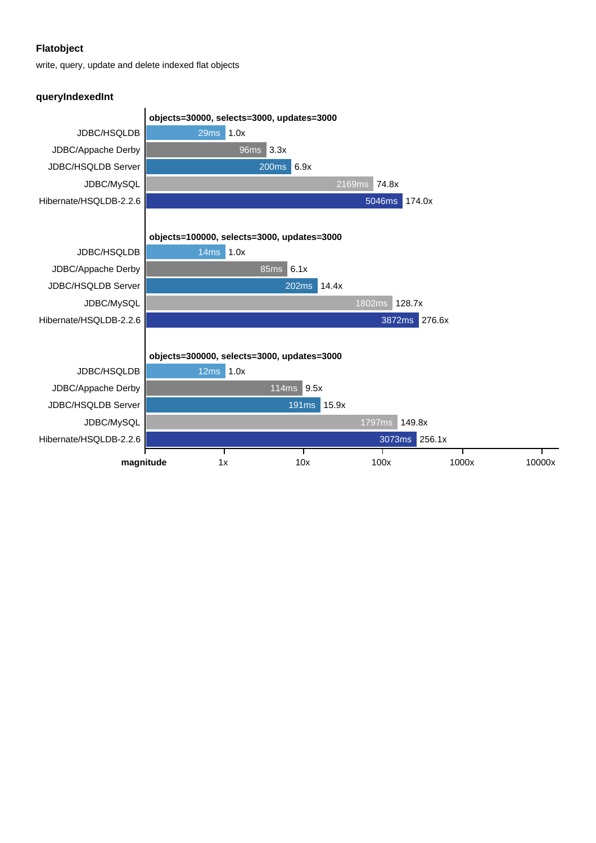write, query, update and delete indexed flat objects

#### **queryIndexedInt**

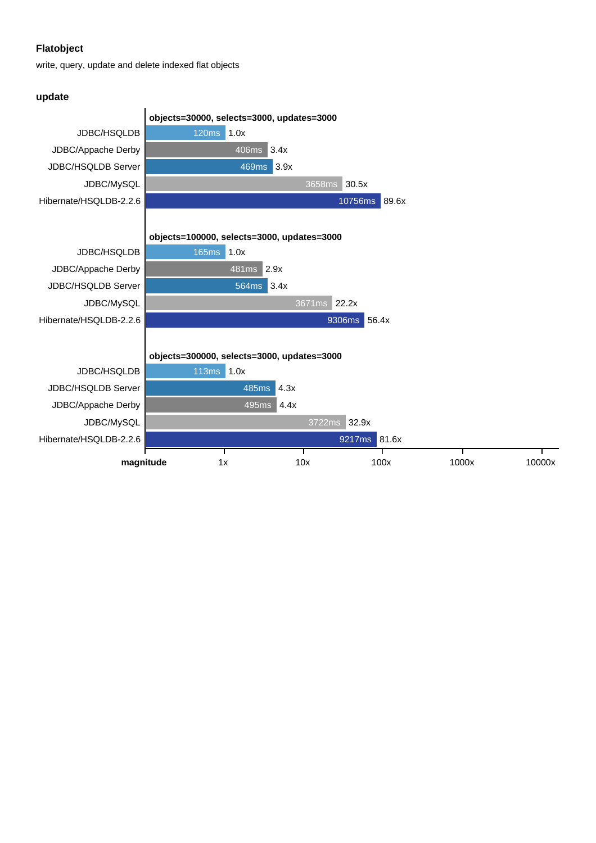write, query, update and delete indexed flat objects

#### **update**

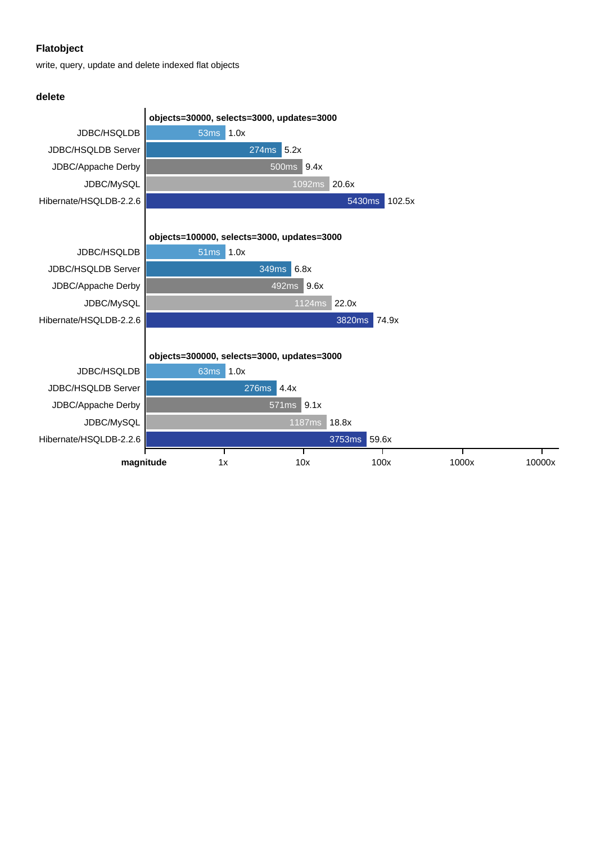write, query, update and delete indexed flat objects

#### **delete**

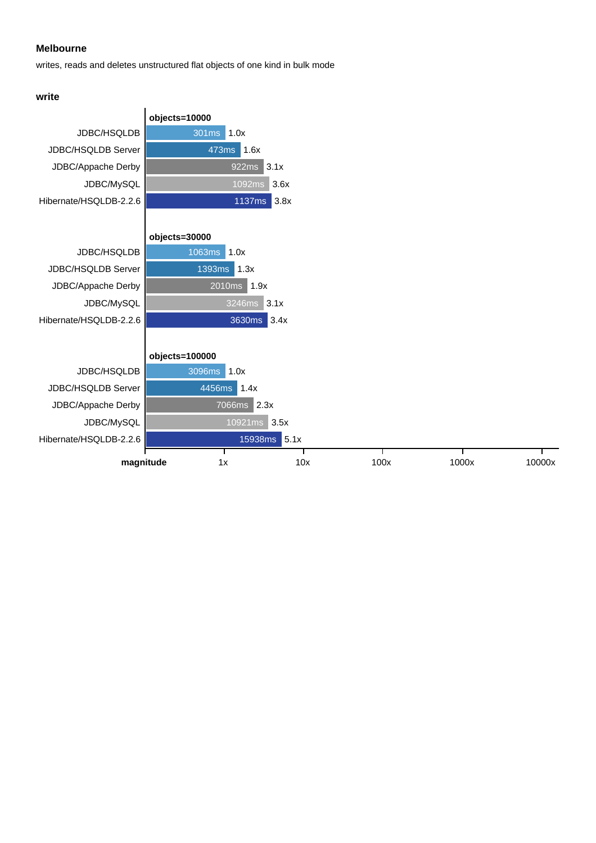#### **Melbourne**

writes, reads and deletes unstructured flat objects of one kind in bulk mode

#### **write**

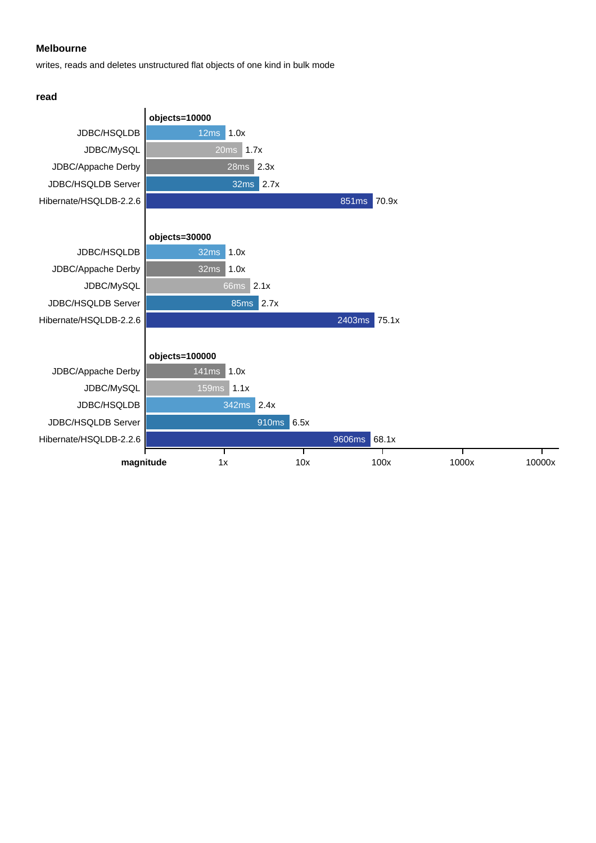#### **Melbourne**

writes, reads and deletes unstructured flat objects of one kind in bulk mode

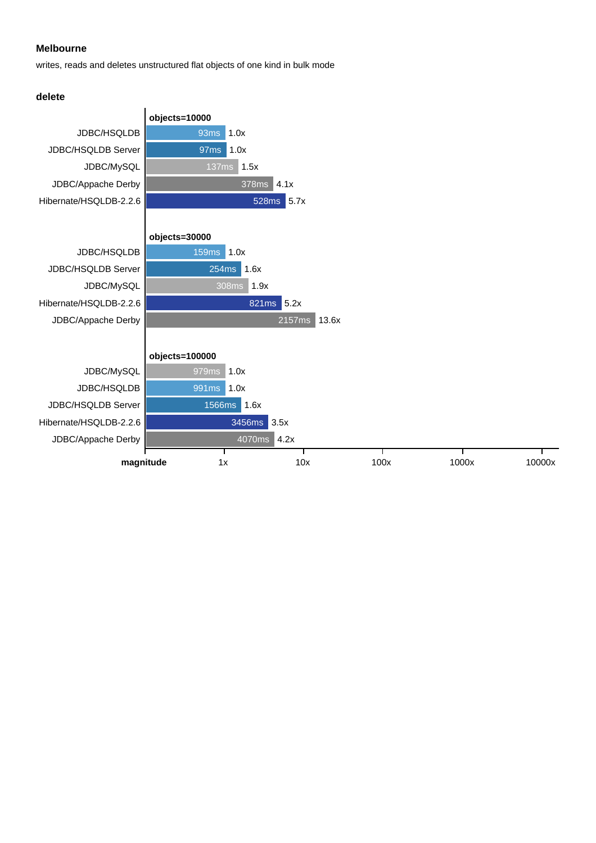#### **Melbourne**

writes, reads and deletes unstructured flat objects of one kind in bulk mode



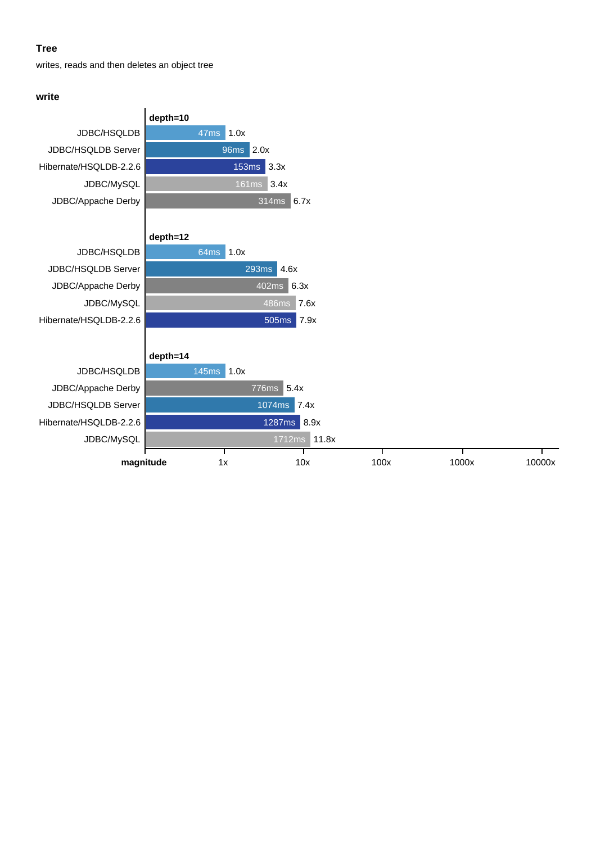#### **Tree**

writes, reads and then deletes an object tree

#### **write**

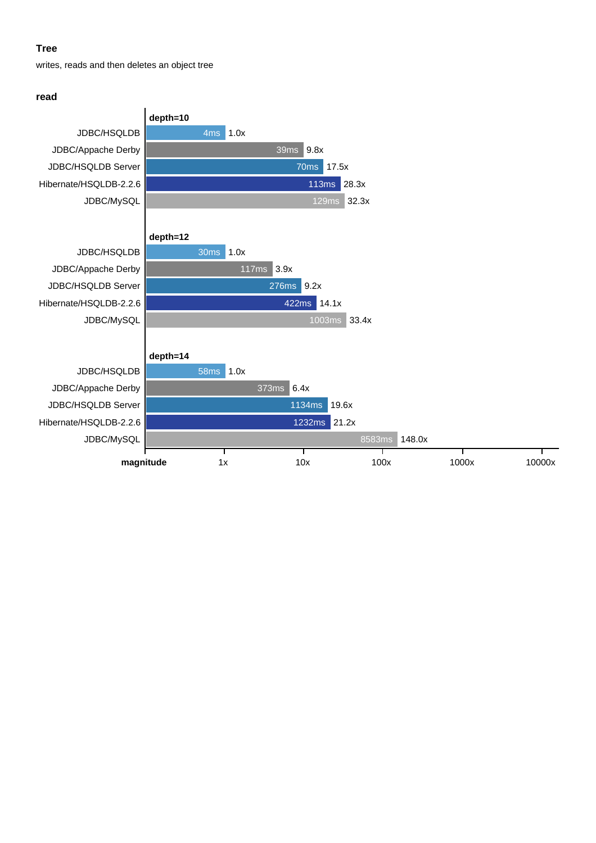#### **Tree**

writes, reads and then deletes an object tree

#### **read**

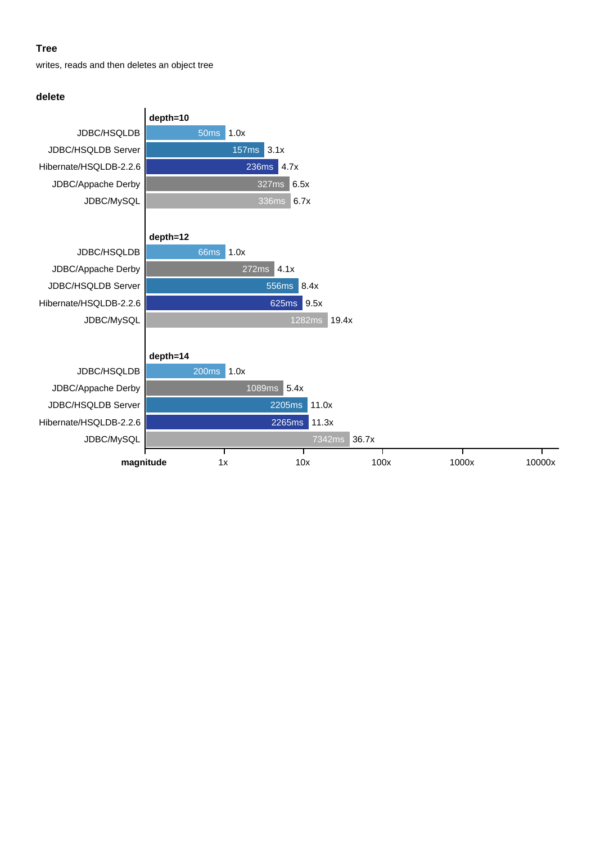#### **Tree**

writes, reads and then deletes an object tree

#### **delete**

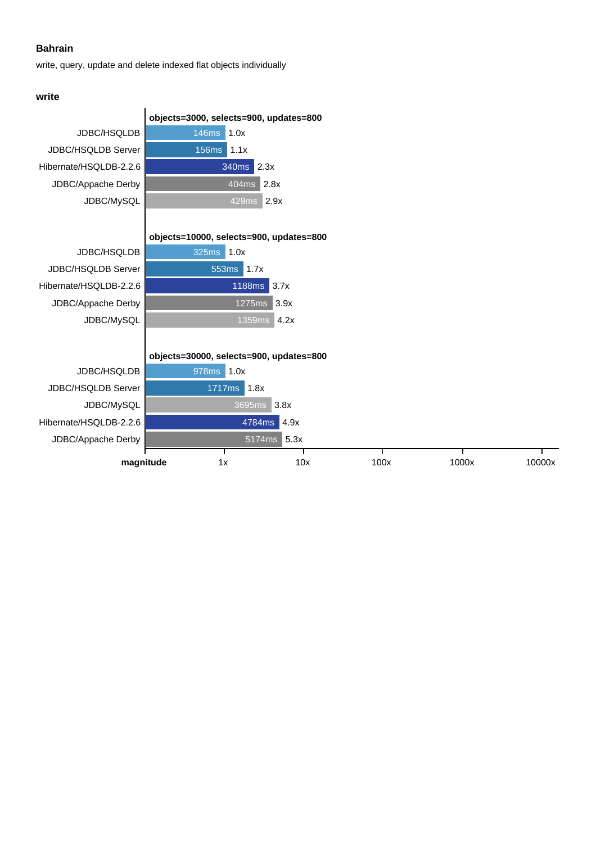write, query, update and delete indexed flat objects individually

## **write**

|                           | objects=3000, selects=900, updates=800  |               |      |      |       |        |
|---------------------------|-----------------------------------------|---------------|------|------|-------|--------|
| JDBC/HSQLDB               | 146ms                                   | 1.0x          |      |      |       |        |
| JDBC/HSQLDB Server        | <b>156ms</b>                            | $\vert$ 1.1x  |      |      |       |        |
| Hibernate/HSQLDB-2.2.6    |                                         | 2.3x<br>340ms |      |      |       |        |
| JDBC/Appache Derby        |                                         | 2.8x<br>404ms |      |      |       |        |
| JDBC/MySQL                |                                         | 429ms         | 2.9x |      |       |        |
|                           |                                         |               |      |      |       |        |
|                           | objects=10000, selects=900, updates=800 |               |      |      |       |        |
| <b>JDBC/HSQLDB</b>        | 325ms                                   | 1.0x          |      |      |       |        |
| <b>JDBC/HSQLDB Server</b> | 553ms<br>1.7x                           |               |      |      |       |        |
| Hibernate/HSQLDB-2.2.6    |                                         | <b>1188ms</b> | 3.7x |      |       |        |
| JDBC/Appache Derby        |                                         | 1275ms        | 3.9x |      |       |        |
| JDBC/MySQL                |                                         | 1359ms        | 4.2x |      |       |        |
|                           |                                         |               |      |      |       |        |
|                           | objects=30000, selects=900, updates=800 |               |      |      |       |        |
| <b>JDBC/HSQLDB</b>        | 978ms                                   | 1.0x          |      |      |       |        |
| JDBC/HSQLDB Server        | 1717ms<br>1.8x                          |               |      |      |       |        |
| JDBC/MySQL                | 3695ms<br>3.8x                          |               |      |      |       |        |
| Hibernate/HSQLDB-2.2.6    | 4.9x<br>4784ms                          |               |      |      |       |        |
| JDBC/Appache Derby        | 5.3x<br>5174ms                          |               |      |      |       |        |
| magnitude                 | 1x                                      |               | 10x  | 100x | 1000x | 10000x |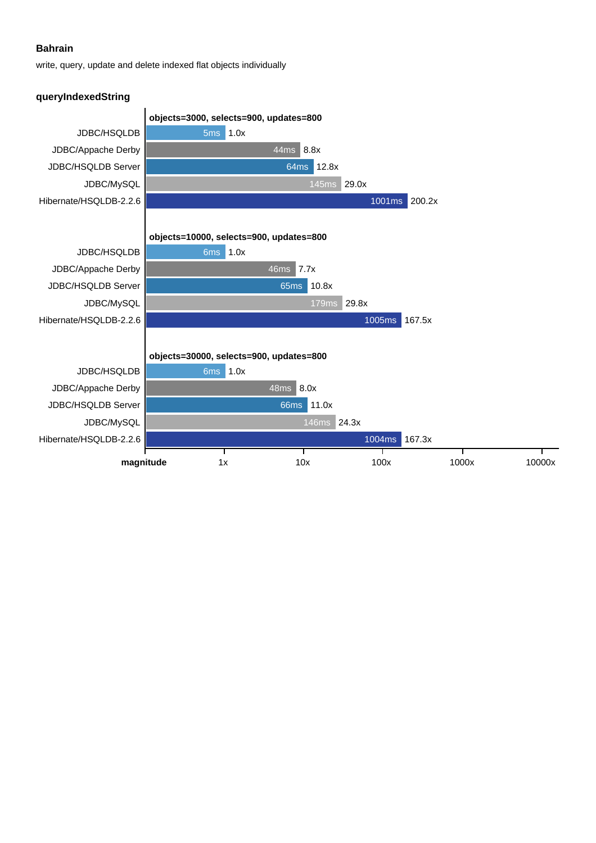write, query, update and delete indexed flat objects individually

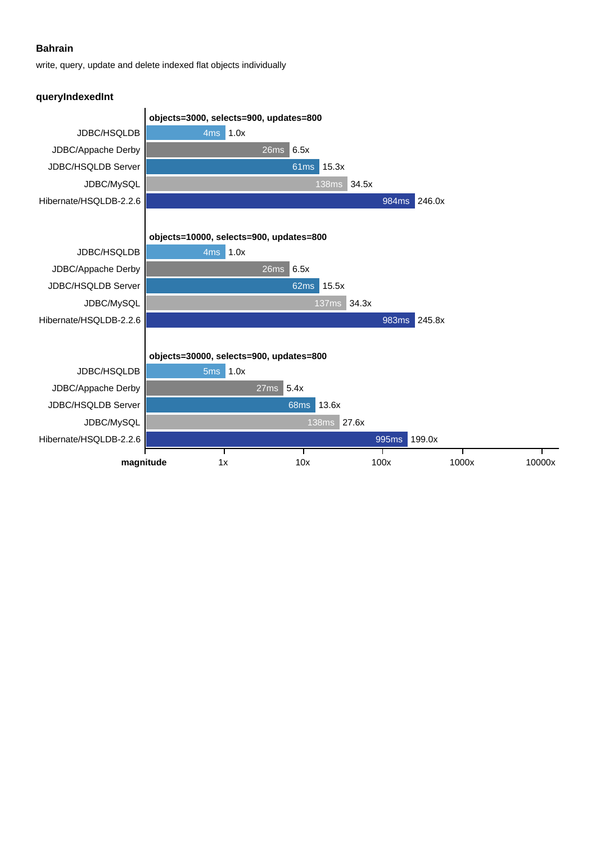write, query, update and delete indexed flat objects individually

#### **queryIndexedInt**

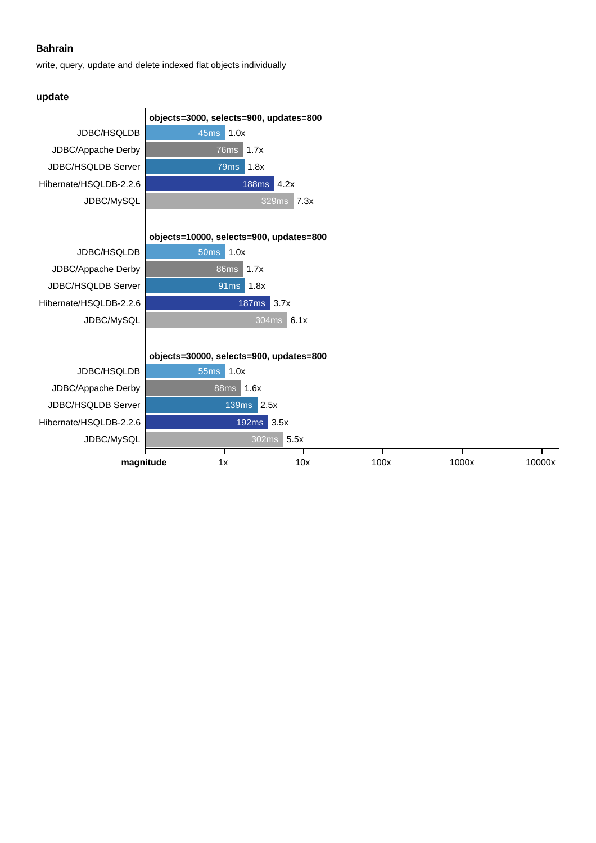write, query, update and delete indexed flat objects individually

## **update**

|                        | objects=3000, selects=900, updates=800  |                      |      |       |        |  |
|------------------------|-----------------------------------------|----------------------|------|-------|--------|--|
| JDBC/HSQLDB            | 45ms<br>1.0x                            |                      |      |       |        |  |
| JDBC/Appache Derby     | 76 <sub>ms</sub>                        | 1.7x                 |      |       |        |  |
| JDBC/HSQLDB Server     | 79ms                                    | 1.8x                 |      |       |        |  |
| Hibernate/HSQLDB-2.2.6 |                                         | <b>188ms</b><br>4.2x |      |       |        |  |
| JDBC/MySQL             |                                         | 7.3x<br>329ms        |      |       |        |  |
|                        |                                         |                      |      |       |        |  |
|                        | objects=10000, selects=900, updates=800 |                      |      |       |        |  |
| JDBC/HSQLDB            | 50 <sub>ms</sub><br>1.0x                |                      |      |       |        |  |
| JDBC/Appache Derby     | 86ms<br>1.7x                            |                      |      |       |        |  |
| JDBC/HSQLDB Server     | 91 <sub>ms</sub>                        | 1.8x                 |      |       |        |  |
| Hibernate/HSQLDB-2.2.6 |                                         | 3.7x<br><b>187ms</b> |      |       |        |  |
| JDBC/MySQL             |                                         | 304ms<br>6.1x        |      |       |        |  |
|                        |                                         |                      |      |       |        |  |
|                        | objects=30000, selects=900, updates=800 |                      |      |       |        |  |
| JDBC/HSQLDB            | <b>55ms</b><br>1.0x                     |                      |      |       |        |  |
| JDBC/Appache Derby     | 88ms<br> 1.6x                           |                      |      |       |        |  |
| JDBC/HSQLDB Server     | 2.5x<br><b>139ms</b>                    |                      |      |       |        |  |
| Hibernate/HSQLDB-2.2.6 |                                         | 192ms 3.5x           |      |       |        |  |
| JDBC/MySQL             |                                         | 5.5x<br>302ms        |      |       |        |  |
| magnitude              | 1x                                      | 10x                  | 100x | 1000x | 10000x |  |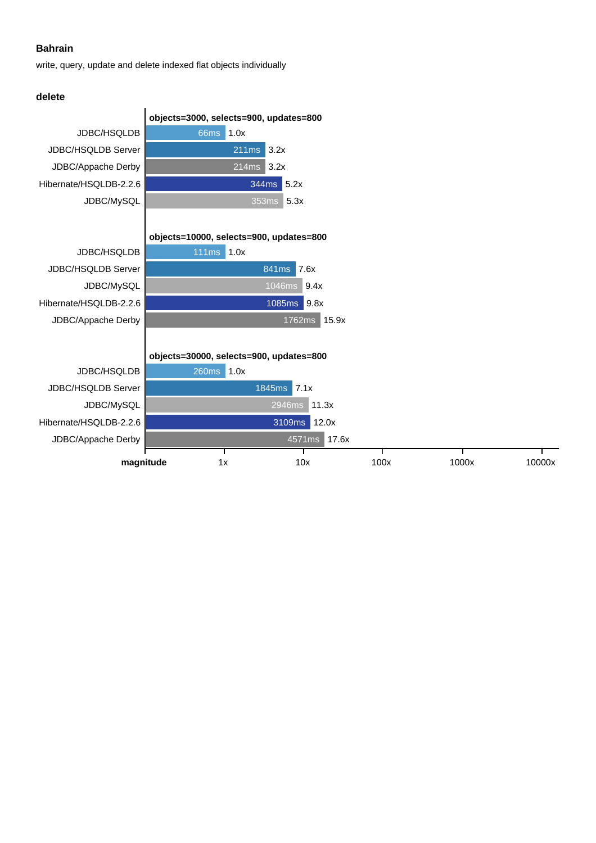write, query, update and delete indexed flat objects individually

#### **delete**

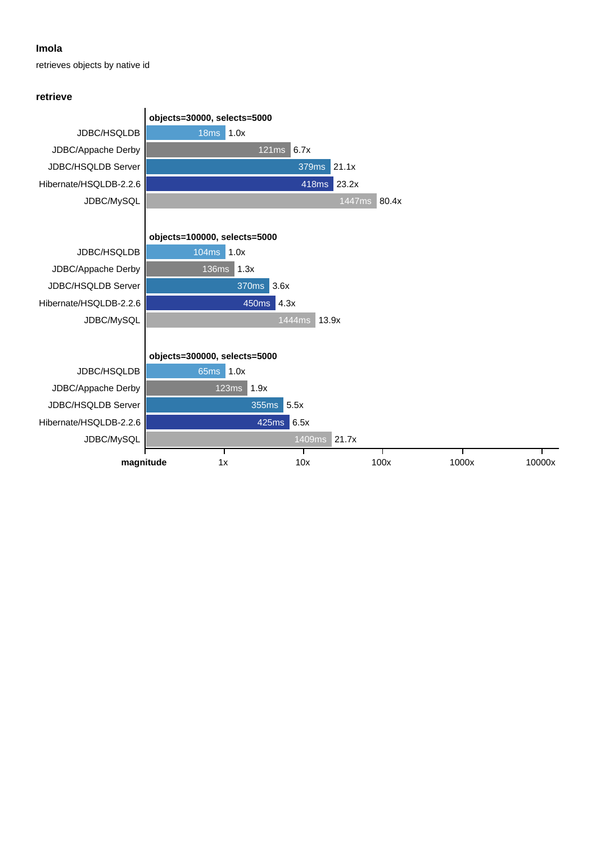#### **Imola**

retrieves objects by native id

#### **retrieve**

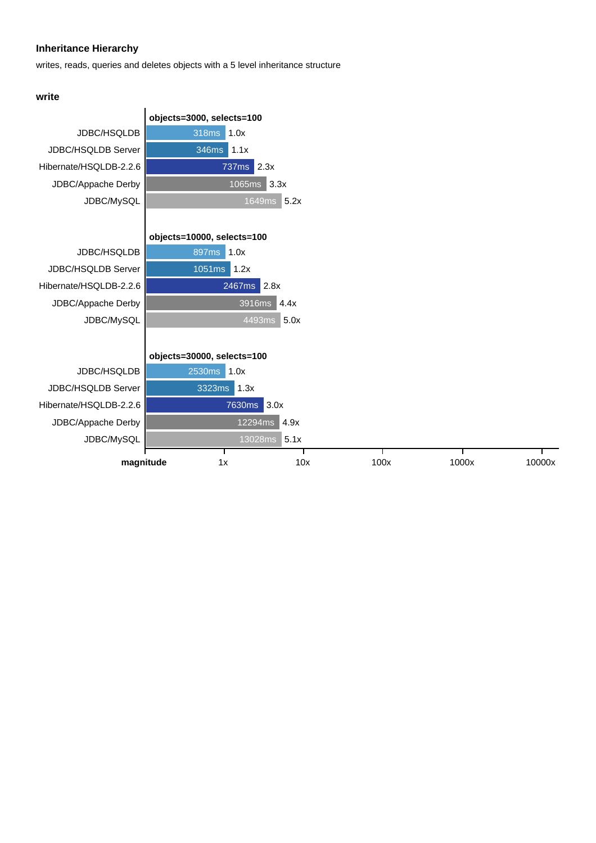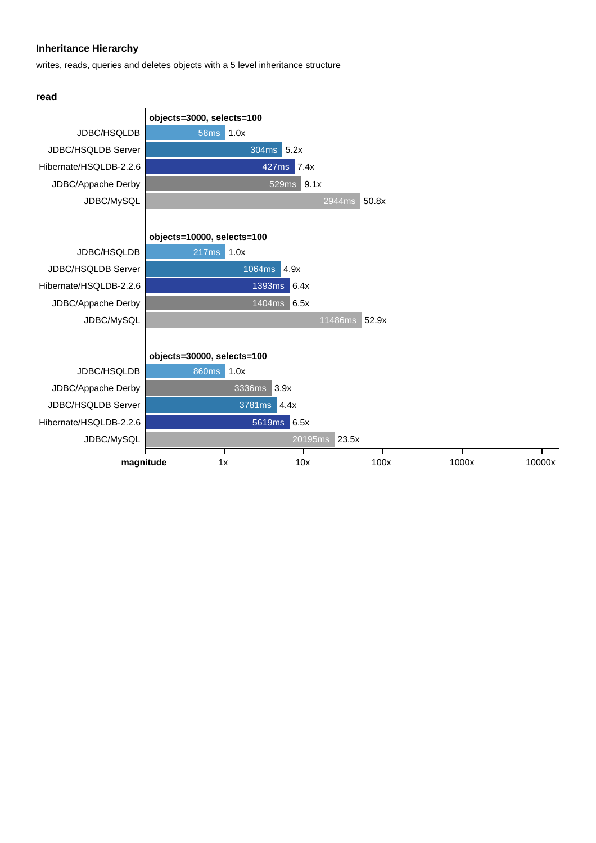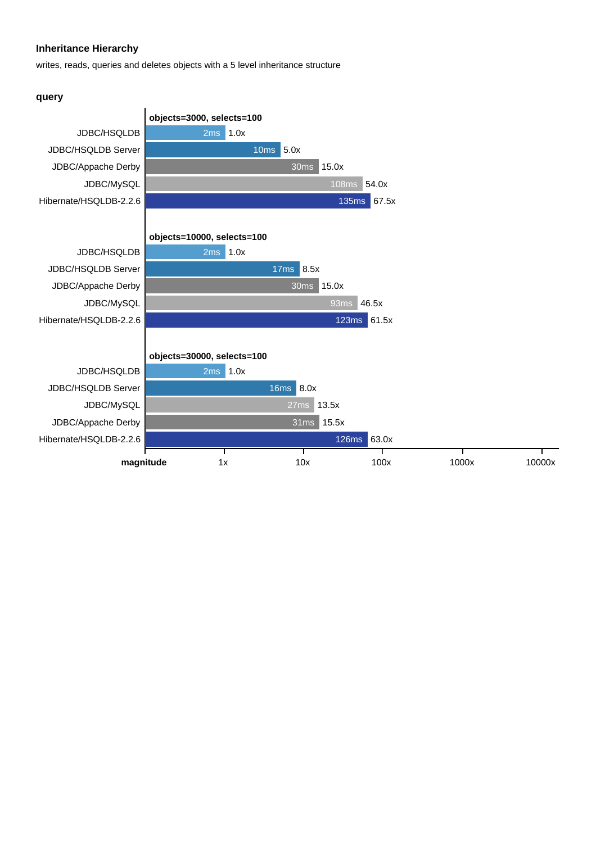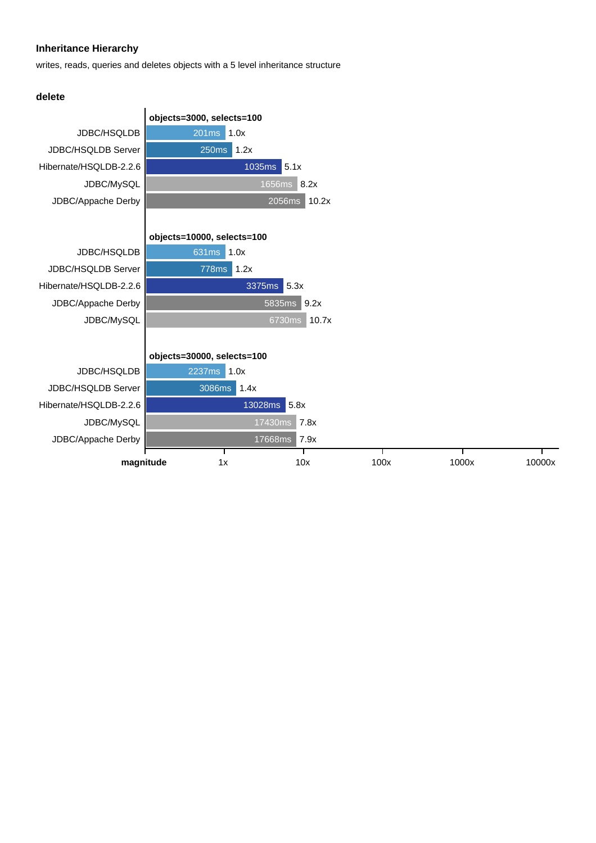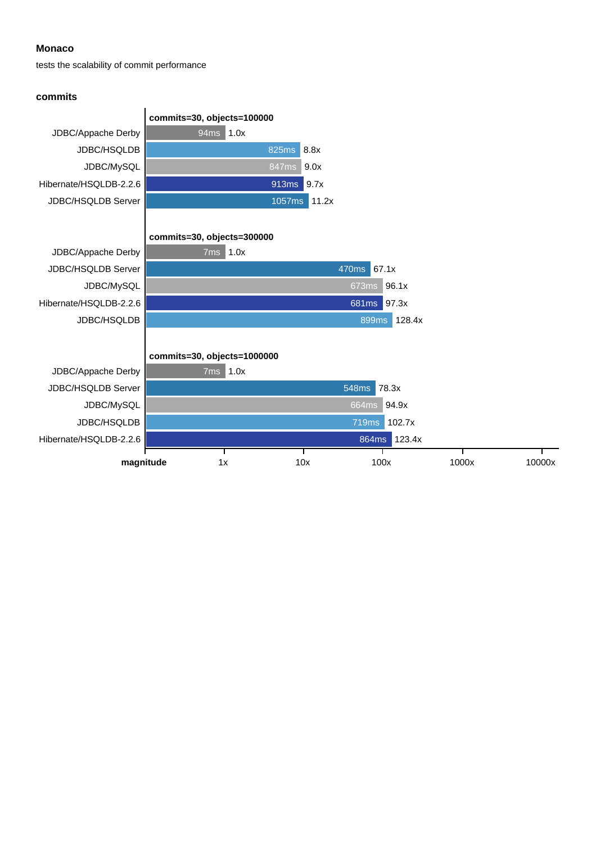#### **Monaco**

tests the scalability of commit performance

#### **commits**

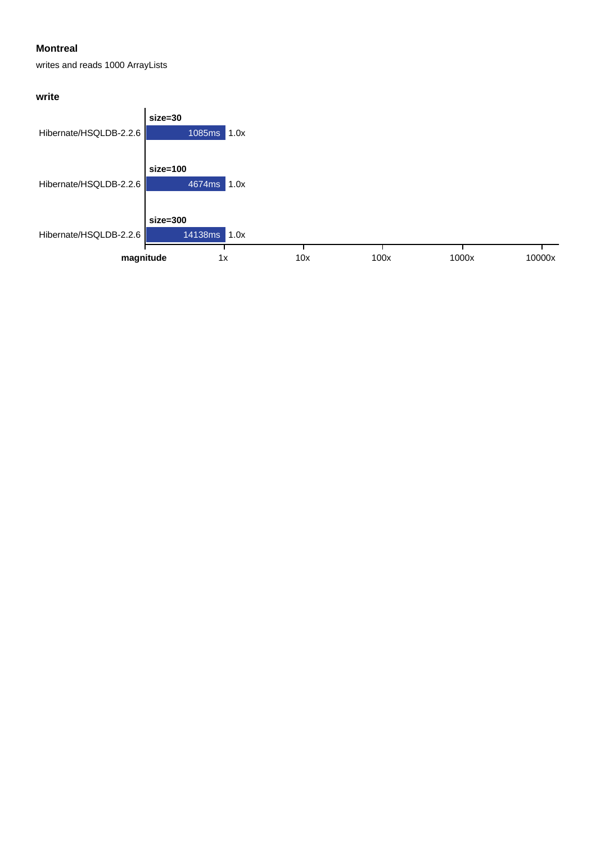## **Montreal**

writes and reads 1000 ArrayLists

## **write**

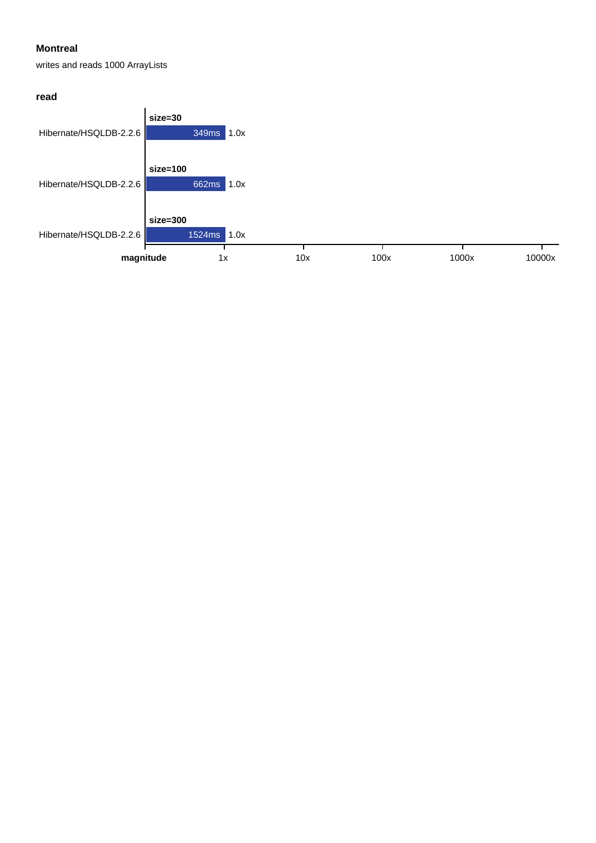## **Montreal**

writes and reads 1000 ArrayLists

#### **read**

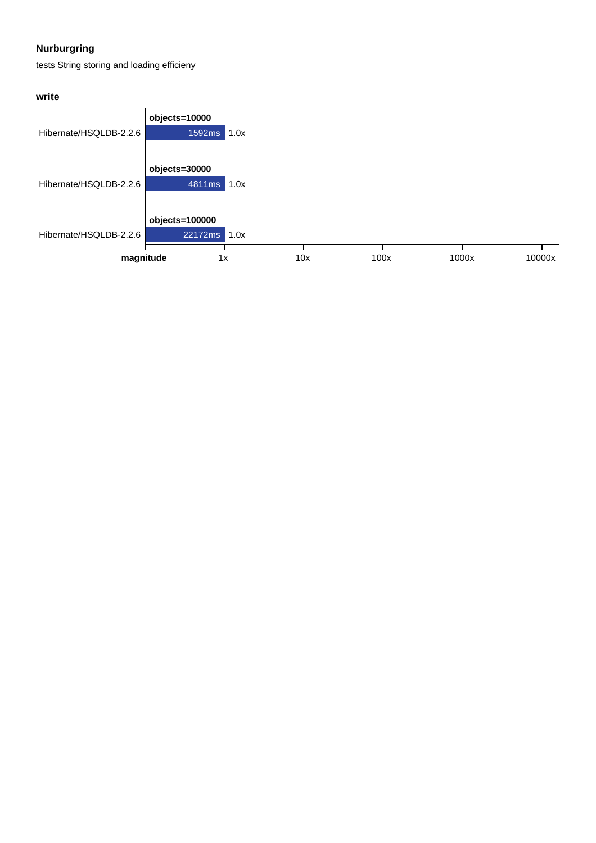## **Nurburgring**

tests String storing and loading efficieny

## **write**